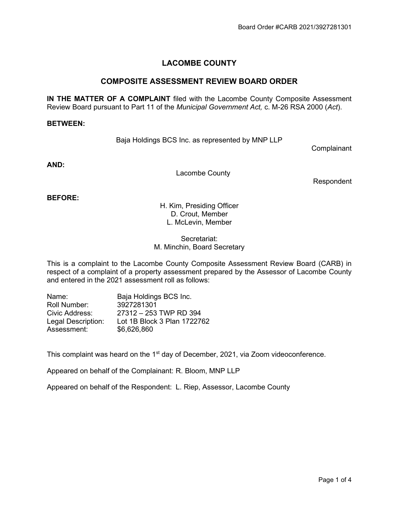# LACOMBE COUNTY

# COMPOSITE ASSESSMENT REVIEW BOARD ORDER

IN THE MATTER OF A COMPLAINT filed with the Lacombe County Composite Assessment Review Board pursuant to Part 11 of the Municipal Government Act, c. M-26 RSA 2000 (Act).

#### BETWEEN:

Baja Holdings BCS Inc. as represented by MNP LLP

**Complainant** 

AND:

Lacombe County

Respondent

BEFORE:

H. Kim, Presiding Officer D. Crout, Member L. McLevin, Member

Secretariat: M. Minchin, Board Secretary

This is a complaint to the Lacombe County Composite Assessment Review Board (CARB) in respect of a complaint of a property assessment prepared by the Assessor of Lacombe County and entered in the 2021 assessment roll as follows:

| Name:              | Baja Holdings BCS Inc.      |
|--------------------|-----------------------------|
| Roll Number:       | 3927281301                  |
| Civic Address:     | 27312 - 253 TWP RD 394      |
| Legal Description: | Lot 1B Block 3 Plan 1722762 |
| Assessment:        | \$6,626,860                 |

This complaint was heard on the 1<sup>st</sup> day of December, 2021, via Zoom videoconference.

Appeared on behalf of the Complainant: R. Bloom, MNP LLP

Appeared on behalf of the Respondent: L. Riep, Assessor, Lacombe County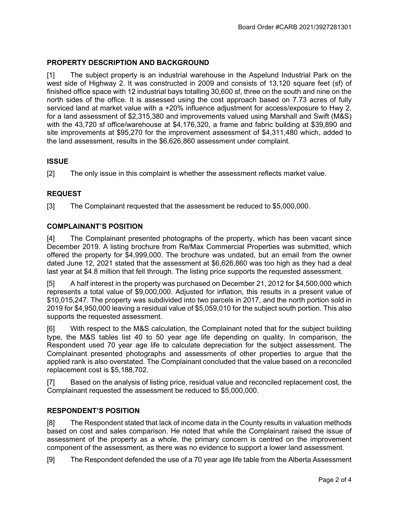# PROPERTY DESCRIPTION AND BACKGROUND

[1] The subject property is an industrial warehouse in the Aspelund Industrial Park on the west side of Highway 2. It was constructed in 2009 and consists of 13,120 square feet (sf) of finished office space with 12 industrial bays totalling 30,600 sf, three on the south and nine on the north sides of the office. It is assessed using the cost approach based on 7.73 acres of fully serviced land at market value with a +20% influence adjustment for access/exposure to Hwy 2, for a land assessment of \$2,315,380 and improvements valued using Marshall and Swift (M&S) with the 43,720 sf office/warehouse at \$4,176,320, a frame and fabric building at \$39,890 and site improvements at \$95,270 for the improvement assessment of \$4,311,480 which, added to the land assessment, results in the \$6,626,860 assessment under complaint.

# **ISSUE**

[2] The only issue in this complaint is whether the assessment reflects market value.

# REQUEST

[3] The Complainant requested that the assessment be reduced to \$5,000,000.

#### COMPLAINANT'S POSITION

[4] The Complainant presented photographs of the property, which has been vacant since December 2019. A listing brochure from Re/Max Commercial Properties was submitted, which offered the property for \$4,999,000. The brochure was undated, but an email from the owner dated June 12, 2021 stated that the assessment at \$6,626,860 was too high as they had a deal last year at \$4.8 million that fell through. The listing price supports the requested assessment.

[5] A half interest in the property was purchased on December 21, 2012 for \$4,500,000 which represents a total value of \$9,000,000. Adjusted for inflation, this results in a present value of \$10,015,247. The property was subdivided into two parcels in 2017, and the north portion sold in 2019 for \$4,950,000 leaving a residual value of \$5,059,010 for the subject south portion. This also supports the requested assessment.

[6] With respect to the M&S calculation, the Complainant noted that for the subject building type, the M&S tables list 40 to 50 year age life depending on quality. In comparison, the Respondent used 70 year age life to calculate depreciation for the subject assessment. The Complainant presented photographs and assessments of other properties to argue that the applied rank is also overstated. The Complainant concluded that the value based on a reconciled replacement cost is \$5,188,702.

[7] Based on the analysis of listing price, residual value and reconciled replacement cost, the Complainant requested the assessment be reduced to \$5,000,000.

# RESPONDENT'S POSITION

[8] The Respondent stated that lack of income data in the County results in valuation methods based on cost and sales comparison. He noted that while the Complainant raised the issue of assessment of the property as a whole, the primary concern is centred on the improvement component of the assessment, as there was no evidence to support a lower land assessment.

[9] The Respondent defended the use of a 70 year age life table from the Alberta Assessment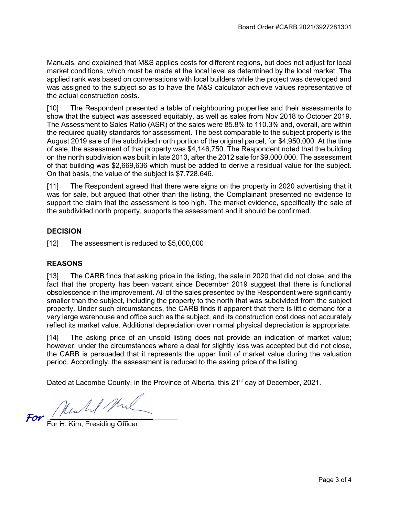Manuals, and explained that M&S applies costs for different regions, but does not adjust for local market conditions, which must be made at the local level as determined by the local market. The applied rank was based on conversations with local builders while the project was developed and was assigned to the subject so as to have the M&S calculator achieve values representative of the actual construction costs.

[10] The Respondent presented a table of neighbouring properties and their assessments to show that the subject was assessed equitably, as well as sales from Nov 2018 to October 2019. The Assessment to Sales Ratio (ASR) of the sales were 85.8% to 110.3% and, overall, are within the required quality standards for assessment. The best comparable to the subject property is the August 2019 sale of the subdivided north portion of the original parcel, for \$4,950,000. At the time of sale, the assessment of that property was \$4,146,750. The Respondent noted that the building on the north subdivision was built in late 2013, after the 2012 sale for \$9,000,000. The assessment of that building was \$2,669,636 which must be added to derive a residual value for the subject. On that basis, the value of the subject is \$7,728.646.

[11] The Respondent agreed that there were signs on the property in 2020 advertising that it was for sale, but argued that other than the listing, the Complainant presented no evidence to support the claim that the assessment is too high. The market evidence, specifically the sale of the subdivided north property, supports the assessment and it should be confirmed.

# **DECISION**

[12] The assessment is reduced to \$5,000,000

#### **REASONS**

[13] The CARB finds that asking price in the listing, the sale in 2020 that did not close, and the fact that the property has been vacant since December 2019 suggest that there is functional obsolescence in the improvement. All of the sales presented by the Respondent were significantly smaller than the subject, including the property to the north that was subdivided from the subject property. Under such circumstances, the CARB finds it apparent that there is little demand for a very large warehouse and office such as the subject, and its construction cost does not accurately reflect its market value. Additional depreciation over normal physical depreciation is appropriate.

[14] The asking price of an unsold listing does not provide an indication of market value; however, under the circumstances where a deal for slightly less was accepted but did not close, the CARB is persuaded that it represents the upper limit of market value during the valuation period. Accordingly, the assessment is reduced to the asking price of the listing.

Dated at Lacombe County, in the Province of Alberta, this 21<sup>st</sup> day of December, 2021.

 $\overline{\phantom{a}}$ 

For H. Kim, Presiding Officer